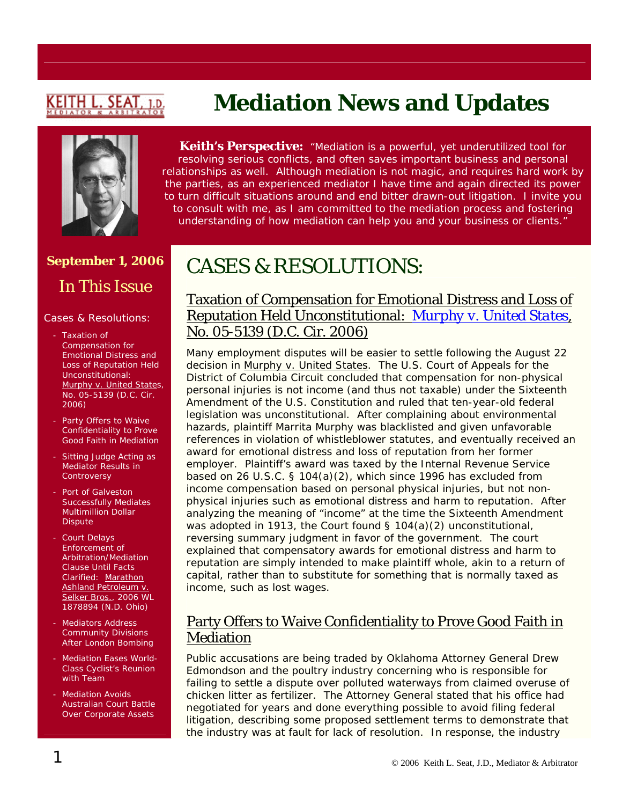# <u>KEITH L. SEAT</u>

# **Mediation News and Updates**



**Keith's Perspective:** *"Mediation is a powerful, yet underutilized tool for resolving serious conflicts, and often saves important business and personal relationships as well. Although mediation is not magic, and requires hard work by the parties, as an experienced mediator I have time and again directed its power to turn difficult situations around and end bitter drawn-out litigation. I invite you to consult with me, as I am committed to the mediation process and fostering understanding of how mediation can help you and your business or clients."*

# **September 1, 2006**

In This Issue

#### Cases & Resolutions:

- Taxation of Compensation for Emotional Distress and Loss of Reputation Held Unconstitutional: [Murphy v. United States,](http://pacer.cadc.uscourts.gov/docs/common/opinions/200608/05-5139a.pdf) No. 05-5139 (D.C. Cir. 2006)
- Party Offers to Waive Confidentiality to Prove Good Faith in Mediation
- Sitting Judge Acting as Mediator Results in **Controversy**
- Port of Galveston Successfully Mediates Multimillion Dollar **Dispute**
- Court Delays Enforcement of Arbitration/Mediation Clause Until Facts Clarified: Marathon Ashland Petroleum v. Selker Bros., 2006 WL 1878894 (N.D. Ohio)
- Mediators Address Community Divisions After London Bombing
- Mediation Eases World-Class Cyclist's Reunion with Team
- **Mediation Avoids** Australian Court Battle Over Corporate Assets

# CASES & RESOLUTIONS:

#### Taxation of Compensation for Emotional Distress and Loss of Reputation Held Unconstitutional: *[Murphy v. United States](http://pacer.cadc.uscourts.gov/docs/common/opinions/200608/05-5139a.pdf)*, No. 05-5139 (D.C. Cir. 2006)

Many employment disputes will be easier to settle following the August 22 decision in [Murphy v. United States](http://pacer.cadc.uscourts.gov/docs/common/opinions/200608/05-5139a.pdf). The U.S. Court of Appeals for the District of Columbia Circuit concluded that compensation for non-physical personal injuries is not income (and thus not taxable) under the Sixteenth Amendment of the U.S. Constitution and ruled that ten-year-old federal legislation was unconstitutional. After complaining about environmental hazards, plaintiff Marrita Murphy was blacklisted and given unfavorable references in violation of whistleblower statutes, and eventually received an award for emotional distress and loss of reputation from her former employer. Plaintiff's award was taxed by the Internal Revenue Service based on 26 U.S.C. § 104(a)(2), which since 1996 has excluded from income compensation based on personal physical injuries, but not nonphysical injuries such as emotional distress and harm to reputation. After analyzing the meaning of "income" at the time the Sixteenth Amendment was adopted in 1913, the Court found § 104(a)(2) unconstitutional, reversing summary judgment in favor of the government. The court explained that compensatory awards for emotional distress and harm to reputation are simply intended to make plaintiff whole, akin to a return of capital, rather than to substitute for something that is normally taxed as income, such as lost wages.

#### Party Offers to Waive Confidentiality to Prove Good Faith in Mediation

Public accusations are being traded by Oklahoma Attorney General Drew Edmondson and the poultry industry concerning who is responsible for failing to settle a dispute over polluted waterways from claimed overuse of chicken litter as fertilizer. The Attorney General stated that his office had negotiated for years and done everything possible to avoid filing federal litigation, describing some proposed settlement terms to demonstrate that the industry was at fault for lack of resolution. In response, the industry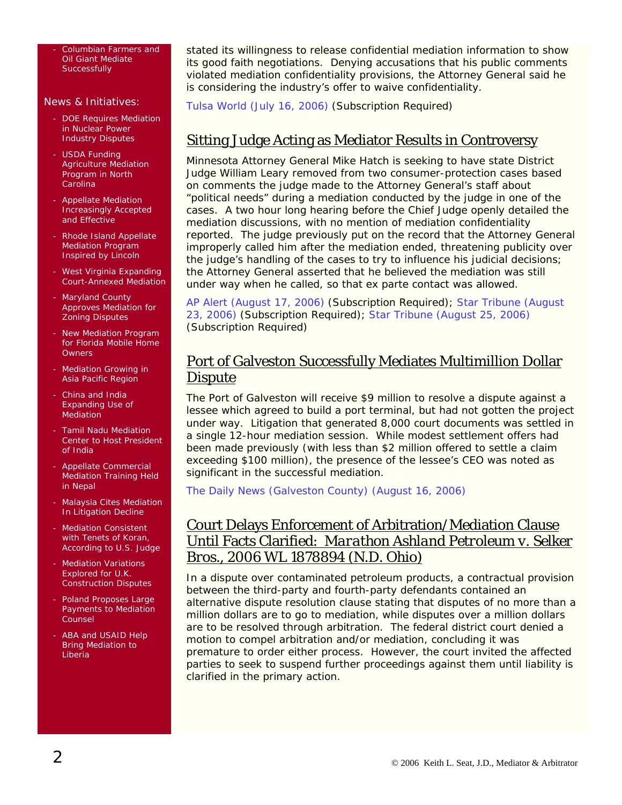- Columbian Farmers and Oil Giant Mediate **Successfully** 

#### News & Initiatives:

- DOE Requires Mediation in Nuclear Power Industry Disputes
- USDA Funding Agriculture Mediation Program in North Carolina
- Appellate Mediation Increasingly Accepted and Effective
- Rhode Island Appellate Mediation Program Inspired by Lincoln
- West Virginia Expanding Court-Annexed Mediation
- Maryland County Approves Mediation for Zoning Disputes
- New Mediation Program for Florida Mobile Home **Owners**
- **Mediation Growing in** Asia Pacific Region
- China and India Expanding Use of Mediation
- Tamil Nadu Mediation Center to Host President of India
- Appellate Commercial Mediation Training Held in Nepal
- Malaysia Cites Mediation In Litigation Decline
- **Mediation Consistent** with Tenets of Koran, According to U.S. Judge
- Mediation Variations Explored for U.K. Construction Disputes
- Poland Proposes Large Payments to Mediation Counsel
- ABA and USAID Help Bring Mediation to Liberia

stated its willingness to release confidential mediation information to show its good faith negotiations. Denying accusations that his public comments violated mediation confidentiality provisions, the Attorney General said he is considering the industry's offer to waive confidentiality.

[Tulsa World \(July 16, 2006\)](http://web2.westlaw.com/find/default.wl?rs=WLW6.06&fn=_top&sv=Split&findjuris=00001&mt=NewsAndBusiness&vr=2.0&rp=/find/default.wl&cite=2006+wlnr+12248410) (Subscription Required)

#### Sitting Judge Acting as Mediator Results in Controversy

Minnesota Attorney General Mike Hatch is seeking to have state District Judge William Leary removed from two consumer-protection cases based on comments the judge made to the Attorney General's staff about "political needs" during a mediation conducted by the judge in one of the cases. A two hour long hearing before the Chief Judge openly detailed the mediation discussions, with no mention of mediation confidentiality reported. The judge previously put on the record that the Attorney General improperly called him after the mediation ended, threatening publicity over the judge's handling of the cases to try to influence his judicial decisions; the Attorney General asserted that he believed the mediation was still under way when he called, so that ex parte contact was allowed.

[AP Alert \(August 17, 2006\)](http://web2.westlaw.com/find/default.wl?rs=WLW6.08&fn=_top&sv=Split&findjuris=00001&mt=NewsAndBusiness&vr=2.0&rp=/find/default.wl&cite=8/17/06+AP+Alert+-+MN+11:09:35) (Subscription Required); [Star Tribune \(August](http://web2.westlaw.com/find/default.wl?rs=WLW6.08&fn=_top&sv=Split&findjuris=00001&mt=NewsAndBusiness&vr=2.0&rp=/find/default.wl&cite=2006+WLNR+14680733)  [23, 2006\)](http://web2.westlaw.com/find/default.wl?rs=WLW6.08&fn=_top&sv=Split&findjuris=00001&mt=NewsAndBusiness&vr=2.0&rp=/find/default.wl&cite=2006+WLNR+14680733) (Subscription Required); [Star Tribune \(August 25, 2006\)](http://web2.westlaw.com/Welcome/NewsAndBusiness/default.wl?RS=WLW6.08&VR=2.0&FN=_top&MT=NewsAndBusiness&SV=Split) (Subscription Required)

#### Port of Galveston Successfully Mediates Multimillion Dollar **Dispute**

The Port of Galveston will receive \$9 million to resolve a dispute against a lessee which agreed to build a port terminal, but had not gotten the project under way. Litigation that generated 8,000 court documents was settled in a single 12-hour mediation session. While modest settlement offers had been made previously (with less than \$2 million offered to settle a claim exceeding \$100 million), the presence of the lessee's CEO was noted as significant in the successful mediation.

[The Daily News \(Galveston County\) \(August 16, 2006\)](http://news.galvestondailynews.com/story.lasso?ewcd=3ad5139a07f6ce0c)

#### Court Delays Enforcement of Arbitration/Mediation Clause Until Facts Clarified: *Marathon Ashland Petroleum v. Selker Bros.*, 2006 WL 1878894 (N.D. Ohio)

In a dispute over contaminated petroleum products, a contractual provision between the third-party and fourth-party defendants contained an alternative dispute resolution clause stating that disputes of no more than a million dollars are to go to mediation, while disputes over a million dollars are to be resolved through arbitration. The federal district court denied a motion to compel arbitration and/or mediation, concluding it was premature to order either process. However, the court invited the affected parties to seek to suspend further proceedings against them until liability is clarified in the primary action.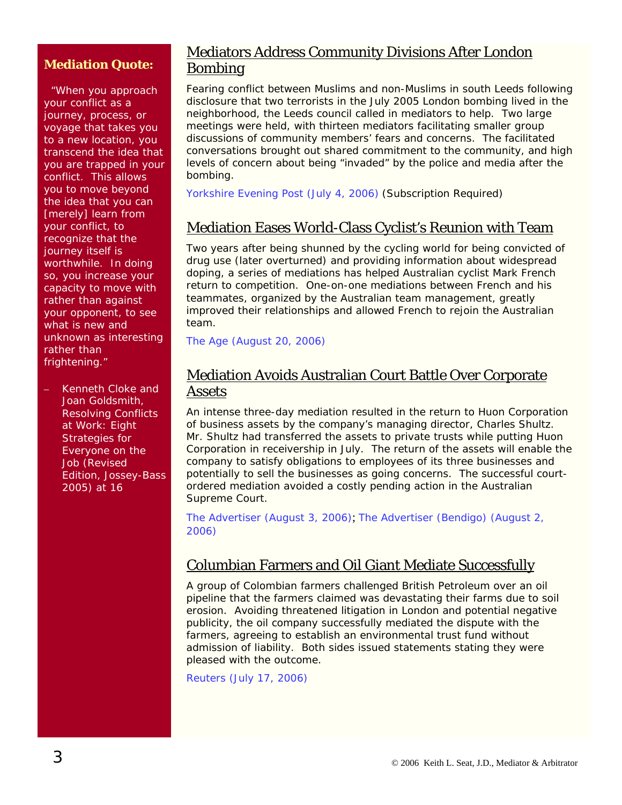#### **Mediation Quote:**

 "When you approach your conflict as a journey, process, or voyage that takes you to a new location, you transcend the idea that you are trapped in your conflict. This allows you to move beyond the idea that you can [merely] learn from your conflict, to recognize that the journey itself is worthwhile. In doing so, you increase your capacity to move with rather than against your opponent, to see what is new and unknown as interesting rather than frightening."

– Kenneth Cloke and Joan Goldsmith, *Resolving Conflicts at Work: Eight Strategies for Everyone on the Job* (Revised Edition, Jossey-Bass 2005) at 16

#### Mediators Address Community Divisions After London Bombing

Fearing conflict between Muslims and non-Muslims in south Leeds following disclosure that two terrorists in the July 2005 London bombing lived in the neighborhood, the Leeds council called in mediators to help. Two large meetings were held, with thirteen mediators facilitating smaller group discussions of community members' fears and concerns. The facilitated conversations brought out shared commitment to the community, and high levels of concern about being "invaded" by the police and media after the bombing.

[Yorkshire Evening Post \(July 4, 2006\)](http://web2.westlaw.com/find/default.wl?rs=WLW6.06&fn=_top&sv=Split&findjuris=00001&mt=NewsAndBusiness&vr=2.0&rp=/find/default.wl&cite=2006+wlnr+11542393) (Subscription Required)

#### Mediation Eases World-Class Cyclist's Reunion with Team

Two years after being shunned by the cycling world for being convicted of drug use (later overturned) and providing information about widespread doping, a series of mediations has helped Australian cyclist Mark French return to competition. One-on-one mediations between French and his teammates, organized by the Australian team management, greatly improved their relationships and allowed French to rejoin the Australian team.

[The Age \(August 20, 2006\)](http://www.theage.com.au/news/sport/french-happy-to-start-rehabilitation-with-clean-slate/2006/08/19/1155408070338.html)

#### Mediation Avoids Australian Court Battle Over Corporate Assets

An intense three-day mediation resulted in the return to Huon Corporation of business assets by the company's managing director, Charles Shultz. Mr. Shultz had transferred the assets to private trusts while putting Huon Corporation in receivership in July. The return of the assets will enable the company to satisfy obligations to employees of its three businesses and potentially to sell the businesses as going concerns. The successful courtordered mediation avoided a costly pending action in the Australian Supreme Court.

[The Advertiser \(August 3, 2006\)](http://bendigo.yourguide.com.au/detail.asp?class=news&subclass=general&story_id=499167&category=General&m=8&y=2006); [The Advertiser \(Bendigo\) \(August 2,](http://bendigo.yourguide.com.au/detail.asp?class=news&subclass=general&story_id=498816&category=general&m=8&y=2006)  [2006\)](http://bendigo.yourguide.com.au/detail.asp?class=news&subclass=general&story_id=498816&category=general&m=8&y=2006)

#### Columbian Farmers and Oil Giant Mediate Successfully

A group of Colombian farmers challenged British Petroleum over an oil pipeline that the farmers claimed was devastating their farms due to soil erosion. Avoiding threatened litigation in London and potential negative publicity, the oil company successfully mediated the dispute with the farmers, agreeing to establish an environmental trust fund without admission of liability. Both sides issued statements stating they were pleased with the outcome.

[Reuters \(July 17, 2006\)](http://www.planetark.org/dailynewsstory.cfm/newsid/37295/story.htm)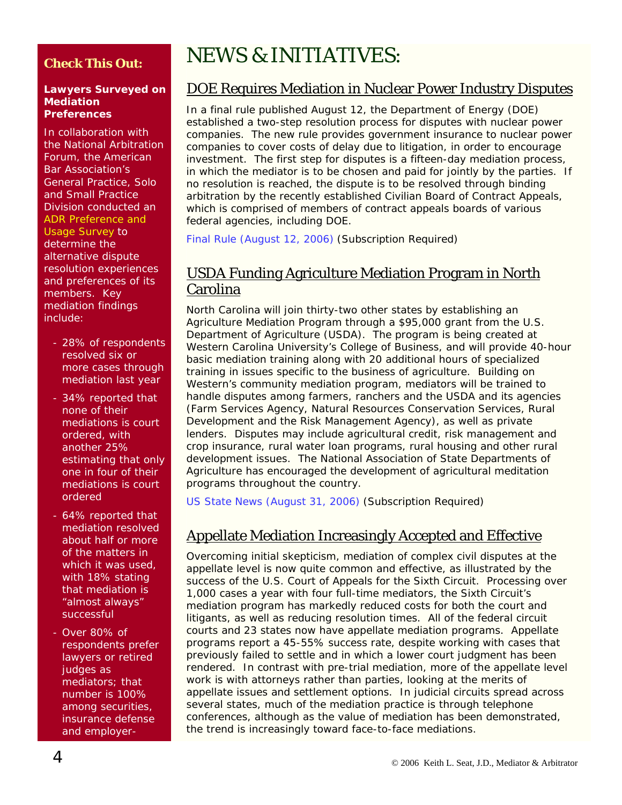#### **Check This Out:**

#### **Lawyers Surveyed on Mediation Preferences**

In collaboration with the National Arbitration Forum, the American Bar Association's General Practice, Solo and Small Practice Division conducted an [ADR Preference and](http://www.abanet.org/genpractice/sponsors/gpsolo-naf-survey.pdf)  [Usage Survey](http://www.abanet.org/genpractice/sponsors/gpsolo-naf-survey.pdf) to determine the alternative dispute resolution experiences and preferences of its members. Key mediation findings include:

- 28% of respondents resolved six or more cases through mediation last year
- 34% reported that none of their mediations is court ordered, with another 25% estimating that only one in four of their mediations is court ordered
- 64% reported that mediation resolved about half or more of the matters in which it was used, with 18% stating that mediation is "almost always" successful
- Over 80% of respondents prefer lawyers or retired judges as mediators; that number is 100% among securities, insurance defense and employer-

# NEWS & INITIATIVES:

#### DOE Requires Mediation in Nuclear Power Industry Disputes

In a final rule published August 12, the Department of Energy (DOE) established a two-step resolution process for disputes with nuclear power companies. The new rule provides government insurance to nuclear power companies to cover costs of delay due to litigation, in order to encourage investment. The first step for disputes is a fifteen-day mediation process, in which the mediator is to be chosen and paid for jointly by the parties. If no resolution is reached, the dispute is to be resolved through binding arbitration by the recently established Civilian Board of Contract Appeals, which is comprised of members of contract appeals boards of various federal agencies, including DOE.

[Final Rule \(August 12, 2006\)](http://web2.westlaw.com/find/default.wl?rs=WLW6.08&fn=_top&sv=Split&findjuris=00001&mt=NewsAndBusiness&vr=2.0&rp=/find/default.wl&cite=2006+WLNR+13949894) (Subscription Required)

#### USDA Funding Agriculture Mediation Program in North Carolina

North Carolina will join thirty-two other states by establishing an Agriculture Mediation Program through a \$95,000 grant from the U.S. Department of Agriculture (USDA). The program is being created at Western Carolina University's College of Business, and will provide 40-hour basic mediation training along with 20 additional hours of specialized training in issues specific to the business of agriculture. Building on Western's community mediation program, mediators will be trained to handle disputes among farmers, ranchers and the USDA and its agencies (Farm Services Agency, Natural Resources Conservation Services, Rural Development and the Risk Management Agency), as well as private lenders. Disputes may include agricultural credit, risk management and crop insurance, rural water loan programs, rural housing and other rural development issues. The National Association of State Departments of Agriculture has encouraged the development of agricultural meditation programs throughout the country.

[US State News \(August 31, 2006\)](http://web2.westlaw.com/find/default.wl?rs=WLW6.08&fn=_top&sv=Split&findjuris=00001&mt=NewsAndBusiness&vr=2.0&rp=/find/default.wl&cite=2006+WLNR+15155137) (Subscription Required)

## Appellate Mediation Increasingly Accepted and Effective

Overcoming initial skepticism, mediation of complex civil disputes at the appellate level is now quite common and effective, as illustrated by the success of the U.S. Court of Appeals for the Sixth Circuit. Processing over 1,000 cases a year with four full-time mediators, the Sixth Circuit's mediation program has markedly reduced costs for both the court and litigants, as well as reducing resolution times. All of the federal circuit courts and 23 states now have appellate mediation programs. Appellate programs report a 45-55% success rate, despite working with cases that previously failed to settle and in which a lower court judgment has been rendered. In contrast with pre-trial mediation, more of the appellate level work is with attorneys rather than parties, looking at the merits of appellate issues and settlement options. In judicial circuits spread across several states, much of the mediation practice is through telephone conferences, although as the value of mediation has been demonstrated, the trend is increasingly toward face-to-face mediations.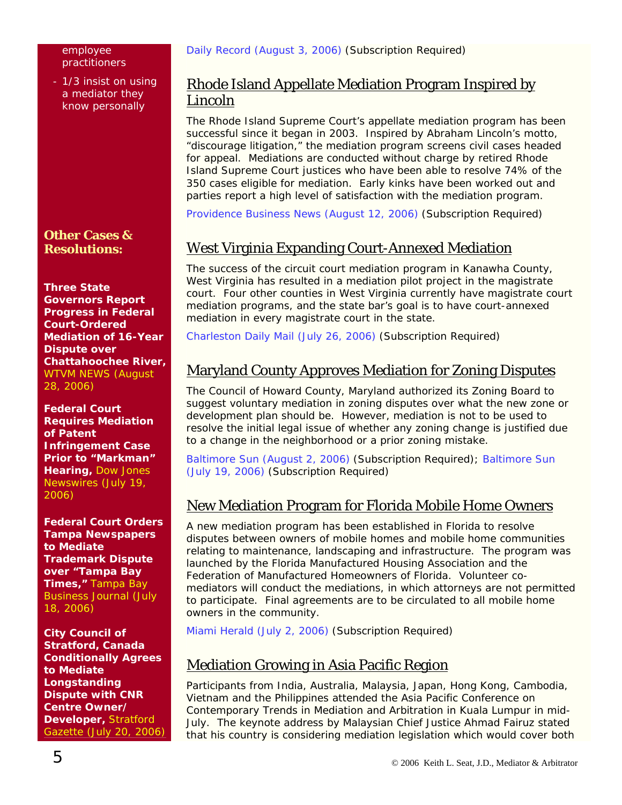#### employee practitioners

- 1/3 insist on using a mediator they know personally

#### **Other Cases & Resolutions:**

**Three State Governors Report Progress in Federal Court-Ordered Mediation of 16-Year Dispute over Chattahoochee River,** [WTVM NEWS \(August](http://www.wtvm.com/Global/story.asp?S=5333025&nav=8fap)  [28, 2006\)](http://www.wtvm.com/Global/story.asp?S=5333025&nav=8fap)

**Federal Court Requires Mediation of Patent Infringement Case Prior to "Markman" Hearing,** [Dow Jones](http://www.marketwatch.com/News/Story/Story.aspx?dist=newsfinder&siteid=google&guid=%7b100690DE-DEAC-433F-8B50-DA09ACF82A27%7d&keyword=)  [Newswires \(July 19,](http://www.marketwatch.com/News/Story/Story.aspx?dist=newsfinder&siteid=google&guid=%7b100690DE-DEAC-433F-8B50-DA09ACF82A27%7d&keyword=)  [2006\)](http://www.marketwatch.com/News/Story/Story.aspx?dist=newsfinder&siteid=google&guid=%7b100690DE-DEAC-433F-8B50-DA09ACF82A27%7d&keyword=)

**Federal Court Orders Tampa Newspapers to Mediate Trademark Dispute over "Tampa Bay Times,"** [Tampa Bay](http://tampabay.bizjournals.com/tampabay/stories/2006/07/17/daily25.html?jst=b_ln_hl)  [Business Journal \(July](http://tampabay.bizjournals.com/tampabay/stories/2006/07/17/daily25.html?jst=b_ln_hl)  [18, 2006\)](http://tampabay.bizjournals.com/tampabay/stories/2006/07/17/daily25.html?jst=b_ln_hl)

**City Council of Stratford, Canada Conditionally Agrees to Mediate Longstanding Dispute with CNR Centre Owner/ Developer,** [Stratford](http://web2.westlaw.com/find/default.wl?rs=WLW6.08&fn=_top&sv=Split&findjuris=00001&mt=NewsAndBusiness&vr=2.0&rp=/find/default.wl&cite=2006+WLNR+12553509)  [Gazette \(July 20, 2006\)](http://web2.westlaw.com/find/default.wl?rs=WLW6.08&fn=_top&sv=Split&findjuris=00001&mt=NewsAndBusiness&vr=2.0&rp=/find/default.wl&cite=2006+WLNR+12553509)

#### Rhode Island Appellate Mediation Program Inspired by Lincoln

The Rhode Island Supreme Court's appellate mediation program has been successful since it began in 2003. Inspired by Abraham Lincoln's motto, "discourage litigation," the mediation program screens civil cases headed for appeal. Mediations are conducted without charge by retired Rhode Island Supreme Court justices who have been able to resolve 74% of the 350 cases eligible for mediation. Early kinks have been worked out and parties report a high level of satisfaction with the mediation program.

[Providence Business News \(August 12, 2006\)](http://www.pbn.com/search/access.php) (Subscription Required)

## West Virginia Expanding Court-Annexed Mediation

The success of the circuit court mediation program in Kanawha County, West Virginia has resulted in a mediation pilot project in the magistrate court. Four other counties in West Virginia currently have magistrate court mediation programs, and the state bar's goal is to have court-annexed mediation in every magistrate court in the state.

[Charleston Daily Mail \(July 26, 2006\)](http://web2.westlaw.com/find/default.wl?rs=WLW6.07&fn=_top&sv=Split&findjuris=00001&mt=NewsAndBusiness&vr=2.0&rp=/find/default.wl&cite=2006+WLNR+13009102) (Subscription Required)

#### Maryland County Approves Mediation for Zoning Disputes

The Council of Howard County, Maryland authorized its Zoning Board to suggest voluntary mediation in zoning disputes over what the new zone or development plan should be. However, mediation is not to be used to resolve the initial legal issue of whether any zoning change is justified due to a change in the neighborhood or a prior zoning mistake.

[Baltimore Sun \(August 2, 2006\)](http://web2.westlaw.com/find/default.wl?rs=WLW6.07&fn=_top&sv=Split&findjuris=00001&mt=NewsAndBusiness&vr=2.0&rp=/find/default.wl&cite=2006+WLNR+13332776) (Subscription Required); [Baltimore Sun](http://web2.westlaw.com/find/default.wl?rs=WLW6.07&fn=_top&sv=Split&findjuris=00001&mt=NewsAndBusiness&vr=2.0&rp=/find/default.wl&cite=2006+WLNR+12414527)  [\(July 19, 2006\)](http://web2.westlaw.com/find/default.wl?rs=WLW6.07&fn=_top&sv=Split&findjuris=00001&mt=NewsAndBusiness&vr=2.0&rp=/find/default.wl&cite=2006+WLNR+12414527) (Subscription Required)

#### New Mediation Program for Florida Mobile Home Owners

A new mediation program has been established in Florida to resolve disputes between owners of mobile homes and mobile home communities relating to maintenance, landscaping and infrastructure. The program was launched by the Florida Manufactured Housing Association and the Federation of Manufactured Homeowners of Florida. Volunteer comediators will conduct the mediations, in which attorneys are not permitted to participate. Final agreements are to be circulated to all mobile home owners in the community.

[Miami Herald \(July 2, 2006\)](http://web2.westlaw.com/find/default.wl?rs=WLW6.06&fn=_top&sv=Split&findjuris=00001&mt=NewsAndBusiness&vr=2.0&rp=/find/default.wl&cite=2006+wlnr+11423786) (Subscription Required)

#### Mediation Growing in Asia Pacific Region

Participants from India, Australia, Malaysia, Japan, Hong Kong, Cambodia, Vietnam and the Philippines attended the Asia Pacific Conference on Contemporary Trends in Mediation and Arbitration in Kuala Lumpur in mid-July. The keynote address by Malaysian Chief Justice Ahmad Fairuz stated that his country is considering mediation legislation which would cover both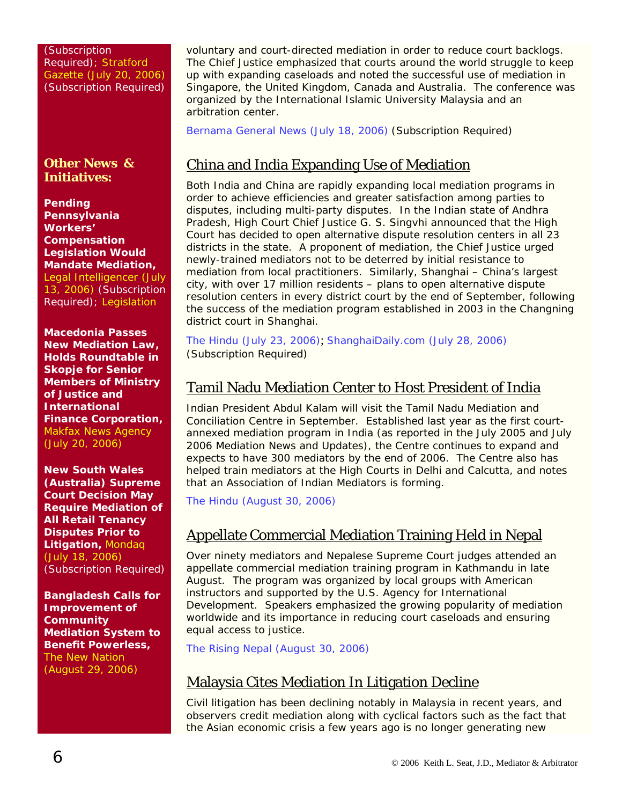(Subscription Required); [Stratford](http://web2.westlaw.com/find/default.wl?rs=WLW6.08&fn=_top&sv=Split&findjuris=00001&mt=NewsAndBusiness&vr=2.0&rp=/find/default.wl&cite=2006+WLNR+12553495)  [Gazette \(July 20, 2006\)](http://web2.westlaw.com/find/default.wl?rs=WLW6.08&fn=_top&sv=Split&findjuris=00001&mt=NewsAndBusiness&vr=2.0&rp=/find/default.wl&cite=2006+WLNR+12553495) (Subscription Required)

#### **Other News & Initiatives:**

**Pending Pennsylvania Workers' Compensation Legislation Would Mandate Mediation,** [Legal Intelligencer \(July](http://web2.westlaw.com/find/default.wl?rs=WLW6.06&fn=_top&sv=Split&findjuris=00001&mt=NewsAndBusiness&vr=2.0&rp=/find/default.wl&cite=legal+intelligencer)  [13, 2006\)](http://web2.westlaw.com/find/default.wl?rs=WLW6.06&fn=_top&sv=Split&findjuris=00001&mt=NewsAndBusiness&vr=2.0&rp=/find/default.wl&cite=legal+intelligencer) (Subscription Required); [Legislation](http://www2.legis.state.pa.us/WU01/LI/BI/BT/2005/0/HB2738P4364.pdf) 

**Macedonia Passes New Mediation Law, Holds Roundtable in Skopje for Senior Members of Ministry of Justice and International Finance Corporation,** [Makfax News Agency](http://www.makfax.com.mk/look/agencija/article.tpl?IdLanguage=1&IdPublication=2&NrArticle=24012&NrIssue=35&NrSection=10)  [\(July 20, 2006\)](http://www.makfax.com.mk/look/agencija/article.tpl?IdLanguage=1&IdPublication=2&NrArticle=24012&NrIssue=35&NrSection=10)

**New South Wales (Australia) Supreme Court Decision May Require Mediation of All Retail Tenancy Disputes Prior to Litigation,** [Mondaq](http://web2.westlaw.com/find/default.wl?rs=WLW6.08&fn=_top&sv=Split&findjuris=00001&mt=NewsAndBusiness&vr=2.0&rp=/find/default.wl&cite=2006+WLNR+12331918)  [\(July 18, 2006\)](http://web2.westlaw.com/find/default.wl?rs=WLW6.08&fn=_top&sv=Split&findjuris=00001&mt=NewsAndBusiness&vr=2.0&rp=/find/default.wl&cite=2006+WLNR+12331918) (Subscription Required)

**Bangladesh Calls for Improvement of Community Mediation System to Benefit Powerless,** [The New Nation](http://nation.ittefaq.com/artman/publish/article_30381.shtml)  [\(August 29, 2006\)](http://nation.ittefaq.com/artman/publish/article_30381.shtml)

voluntary and court-directed mediation in order to reduce court backlogs. The Chief Justice emphasized that courts around the world struggle to keep up with expanding caseloads and noted the successful use of mediation in Singapore, the United Kingdom, Canada and Australia. The conference was organized by the International Islamic University Malaysia and an arbitration center.

[Bernama General News \(July 18, 2006\)](http://web2.westlaw.com/find/default.wl?rs=WLW6.07&fn=_top&sv=Split&findjuris=00001&mt=NewsAndBusiness&vr=2.0&rp=/find/default.wl&cite=bernama+general+news) (Subscription Required)

# China and India Expanding Use of Mediation

Both India and China are rapidly expanding local mediation programs in order to achieve efficiencies and greater satisfaction among parties to disputes, including multi-party disputes. In the Indian state of Andhra Pradesh, High Court Chief Justice G. S. Singvhi announced that the High Court has decided to open alternative dispute resolution centers in all 23 districts in the state. A proponent of mediation, the Chief Justice urged newly-trained mediators not to be deterred by initial resistance to mediation from local practitioners. Similarly, Shanghai – China's largest city, with over 17 million residents – plans to open alternative dispute resolution centers in every district court by the end of September, following the success of the mediation program established in 2003 in the Changning district court in Shanghai.

[The Hindu \(July 23, 2006\)](http://www.hindu.com/2006/07/23/stories/2006072322410300.htm); [ShanghaiDaily.com \(July 28, 2006\)](http://www1.shanghaidaily.com/) (Subscription Required)

## Tamil Nadu Mediation Center to Host President of India

Indian President Abdul Kalam will visit the Tamil Nadu Mediation and Conciliation Centre in September. Established last year as the first courtannexed mediation program in India (as reported in the July 2005 and July 2006 *Mediation News and Updates*), the Centre continues to expand and expects to have 300 mediators by the end of 2006. The Centre also has helped train mediators at the High Courts in Delhi and Calcutta, and notes that an Association of Indian Mediators is forming.

[The Hindu \(August 30, 2006\)](http://www.hindu.com/2006/08/30/stories/2006083008680500.htm)

## Appellate Commercial Mediation Training Held in Nepal

Over ninety mediators and Nepalese Supreme Court judges attended an appellate commercial mediation training program in Kathmandu in late August. The program was organized by local groups with American instructors and supported by the U.S. Agency for International Development. Speakers emphasized the growing popularity of mediation worldwide and its importance in reducing court caseloads and ensuring equal access to justice.

[The Rising Nepal \(August 30, 2006\)](http://www.gorkhapatra.org.np/content.php?nid=2218)

#### Malaysia Cites Mediation In Litigation Decline

Civil litigation has been declining notably in Malaysia in recent years, and observers credit mediation along with cyclical factors such as the fact that the Asian economic crisis a few years ago is no longer generating new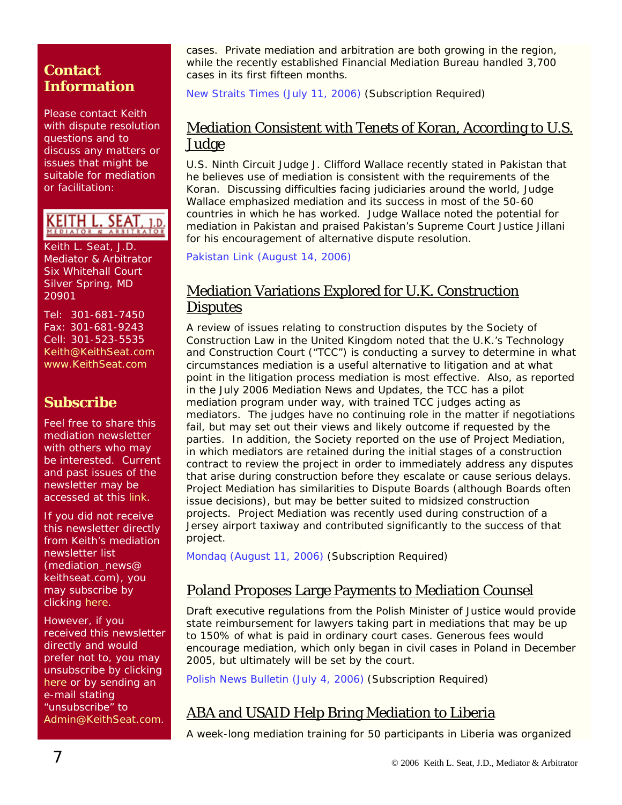#### **Contact Information**

Please contact Keith with dispute resolution questions and to discuss any matters or issues that might be suitable for mediation or facilitation:

KEITH L

Keith L. Seat, J.D. Mediator & Arbitrator Six Whitehall Court Silver Spring, MD 20901

Tel: 301-681-7450 Fax: 301-681-9243 Cell: 301-523-5535 [Keith@KeithSeat.com](mailto:Keith@KeithSeat.com) [www.KeithSeat.com](http://www.keithseat.com/)

# **Subscribe**

Feel free to share this mediation newsletter with others who may be interested. Current and past issues of the newsletter may be accessed at this [link.](http://www.keithseat.com/publications.htm)

If you did not receive this newsletter directly from Keith's mediation newsletter list (mediation\_news@ keithseat.com), you may subscribe by clicking [here](mailto:mediation_news-subscribe@keithseat.com).

However, if you received this newsletter directly and would prefer not to, you may unsubscribe by clicking [here](mailto:mediation_news-unsubscribe@keithseat.com) or by sending an e-mail stating "unsubscribe" to [Admin@KeithSeat.com](mailto:Admin@KeithSeat.com).

cases. Private mediation and arbitration are both growing in the region, while the recently established Financial Mediation Bureau handled 3,700 cases in its first fifteen months.

[New Straits Times \(July 11, 2006\)](http://web2.westlaw.com/find/default.wl?rs=WLW6.07&fn=_top&sv=Split&findjuris=00001&mt=NewsAndBusiness&vr=2.0&rp=/find/default.wl&cite=2006+wlnr+11906699) (Subscription Required)

#### Mediation Consistent with Tenets of Koran, According to U.S. <u>Judge</u>

U.S. Ninth Circuit Judge J. Clifford Wallace recently stated in Pakistan that he believes use of mediation is consistent with the requirements of the Koran. Discussing difficulties facing judiciaries around the world, Judge Wallace emphasized mediation and its success in most of the 50-60 countries in which he has worked. Judge Wallace noted the potential for mediation in Pakistan and praised Pakistan's Supreme Court Justice Jillani for his encouragement of alternative dispute resolution.

[Pakistan Link \(August 14, 2006\)](http://www.pakistanlink.com/Headlines/Aug06/14/14.htm)

#### Mediation Variations Explored for U.K. Construction **Disputes**

A review of issues relating to construction disputes by the Society of Construction Law in the United Kingdom noted that the U.K.'s Technology and Construction Court ("TCC") is conducting a survey to determine in what circumstances mediation is a useful alternative to litigation and at what point in the litigation process mediation is most effective. Also, as reported in the July 2006 *Mediation News and Updates*, the TCC has a pilot mediation program under way, with trained TCC judges acting as mediators. The judges have no continuing role in the matter if negotiations fail, but may set out their views and likely outcome if requested by the parties. In addition, the Society reported on the use of Project Mediation, in which mediators are retained during the initial stages of a construction contract to review the project in order to immediately address any disputes that arise during construction before they escalate or cause serious delays. Project Mediation has similarities to Dispute Boards (although Boards often issue decisions), but may be better suited to midsized construction projects. Project Mediation was recently used during construction of a Jersey airport taxiway and contributed significantly to the success of that project.

[Mondaq \(August 11, 2006\)](http://web2.westlaw.com/find/default.wl?rs=WLW6.08&fn=_top&sv=Split&findjuris=00001&mt=NewsAndBusiness&vr=2.0&rp=/find/default.wl&cite=2006+WLNR+13896293) (Subscription Required)

## Poland Proposes Large Payments to Mediation Counsel

Draft executive regulations from the Polish Minister of Justice would provide state reimbursement for lawyers taking part in mediations that may be up to 150% of what is paid in ordinary court cases. Generous fees would encourage mediation, which only began in civil cases in Poland in December 2005, but ultimately will be set by the court.

[Polish News Bulletin \(July 4, 2006\)](http://web2.westlaw.com/find/default.wl?rs=WLW6.07&fn=_top&sv=Split&findjuris=00001&mt=NewsAndBusiness&vr=2.0&rp=/find/default.wl&cite=7/4/06+polish+news+bull.) (Subscription Required)

## ABA and USAID Help Bring Mediation to Liberia

A week-long mediation training for 50 participants in Liberia was organized